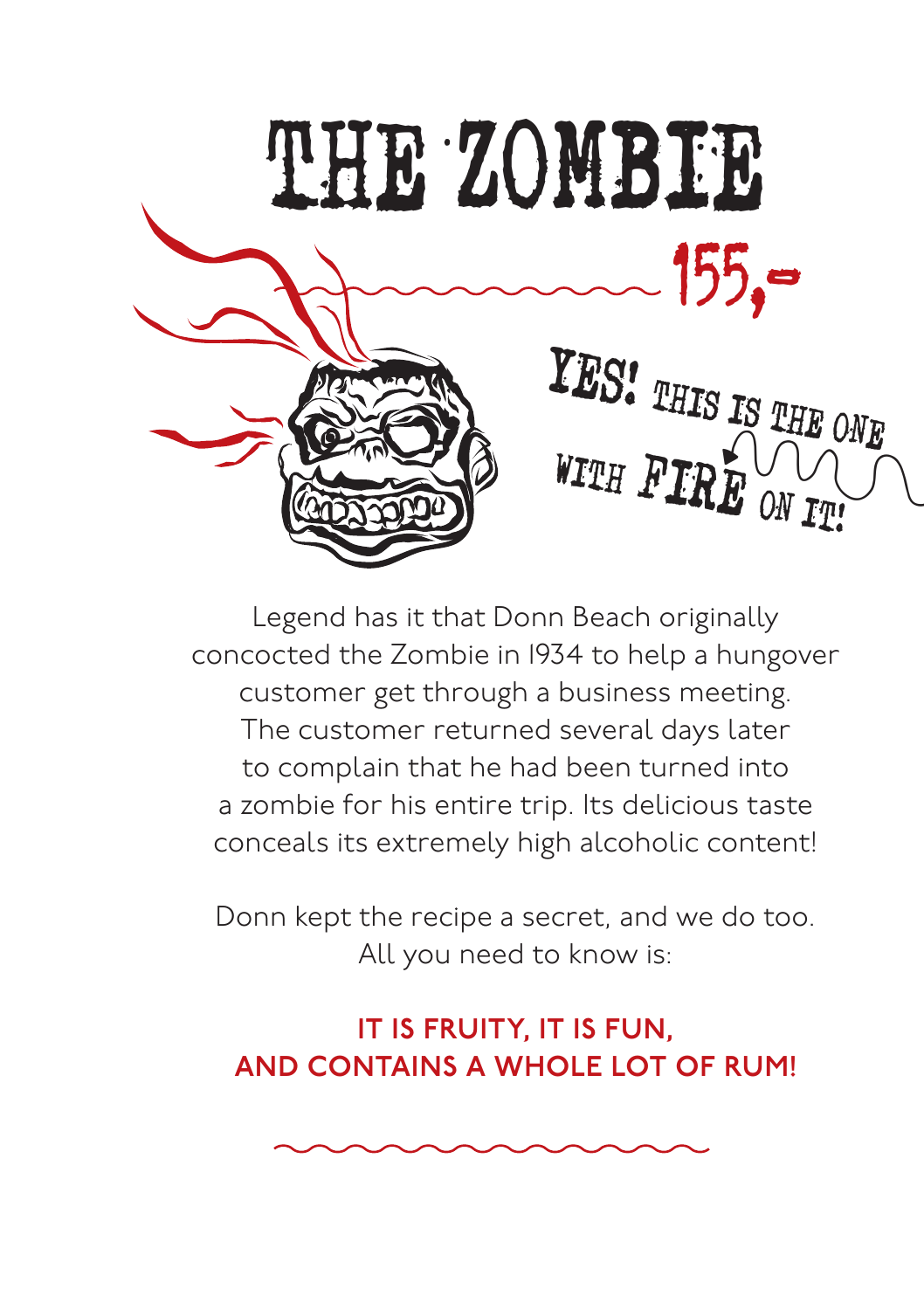

Legend has it that Donn Beach originally concocted the Zombie in 1934 to help a hungover customer get through a business meeting. The customer returned several days later to complain that he had been turned into a zombie for his entire trip. Its delicious taste conceals its extremely high alcoholic content!

Donn kept the recipe a secret, and we do too. All you need to know is:

#### IT IS FRUITY, IT IS FUN, AND CONTAINS A WHOLE LOT OF RUM!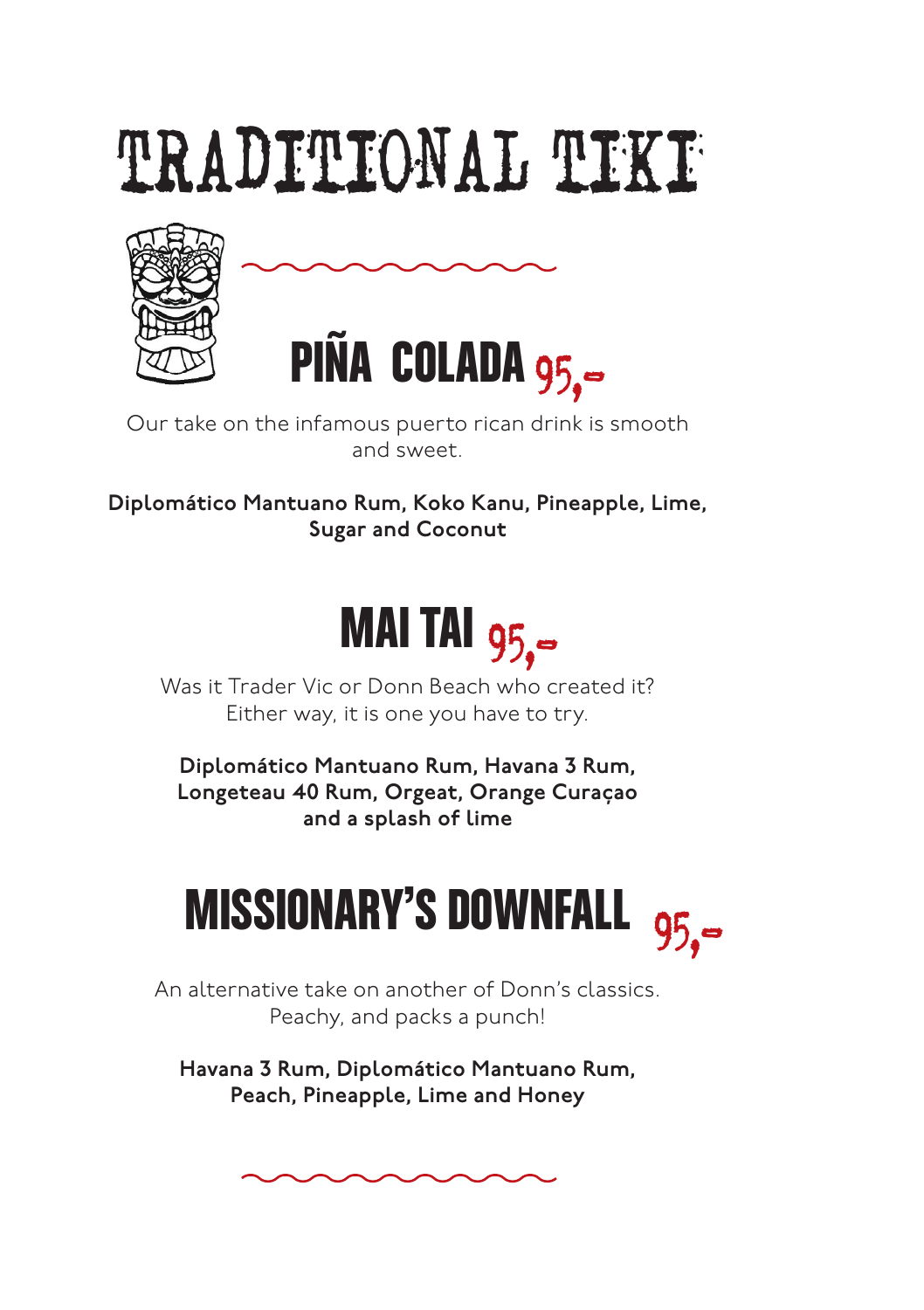# TRADITIONAL TIKI





Our take on the infamous puerto rican drink is smooth and sweet.

Diplomático Mantuano Rum, Koko Kanu, Pineapple, Lime, Sugar and Coconut



Was it Trader Vic or Donn Beach who created it? Either way, it is one you have to try.

Diplomático Mantuano Rum, Havana 3 Rum, Longeteau 40 Rum, Orgeat, Orange Curaçao and a splash of lime



An alternative take on another of Donn's classics. Peachy, and packs a punch!

Havana 3 Rum, Diplomático Mantuano Rum, Peach, Pineapple, Lime and Honey

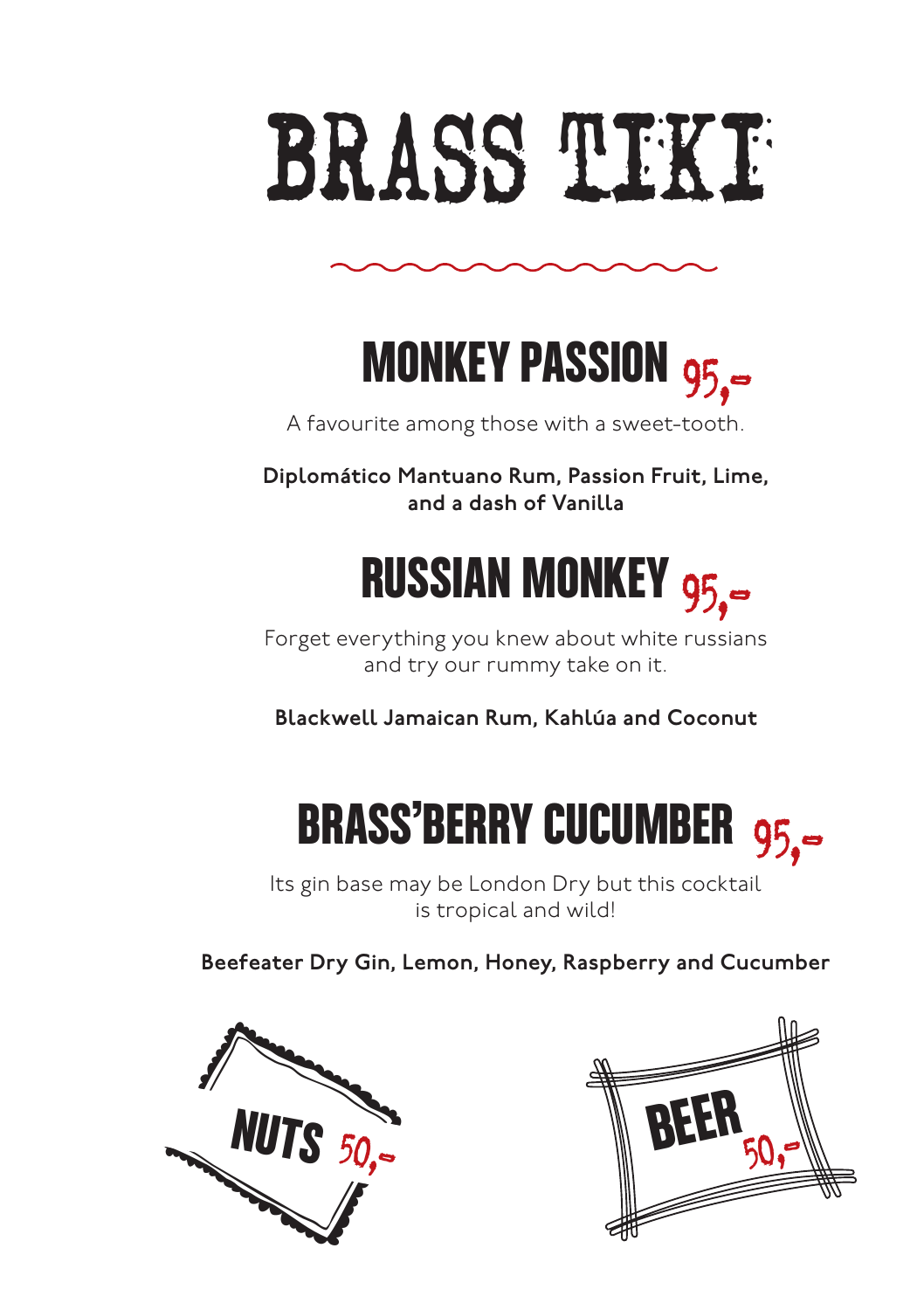



A favourite among those with a sweet-tooth.

Diplomático Mantuano Rum, Passion Fruit, Lime, and a dash of Vanilla



Forget everything you knew about white russians and try our rummy take on it.

Blackwell Jamaican Rum, Kahlúa and Coconut



Its gin base may be London Dry but this cocktail is tropical and wild!

Beefeater Dry Gin, Lemon, Honey, Raspberry and Cucumber



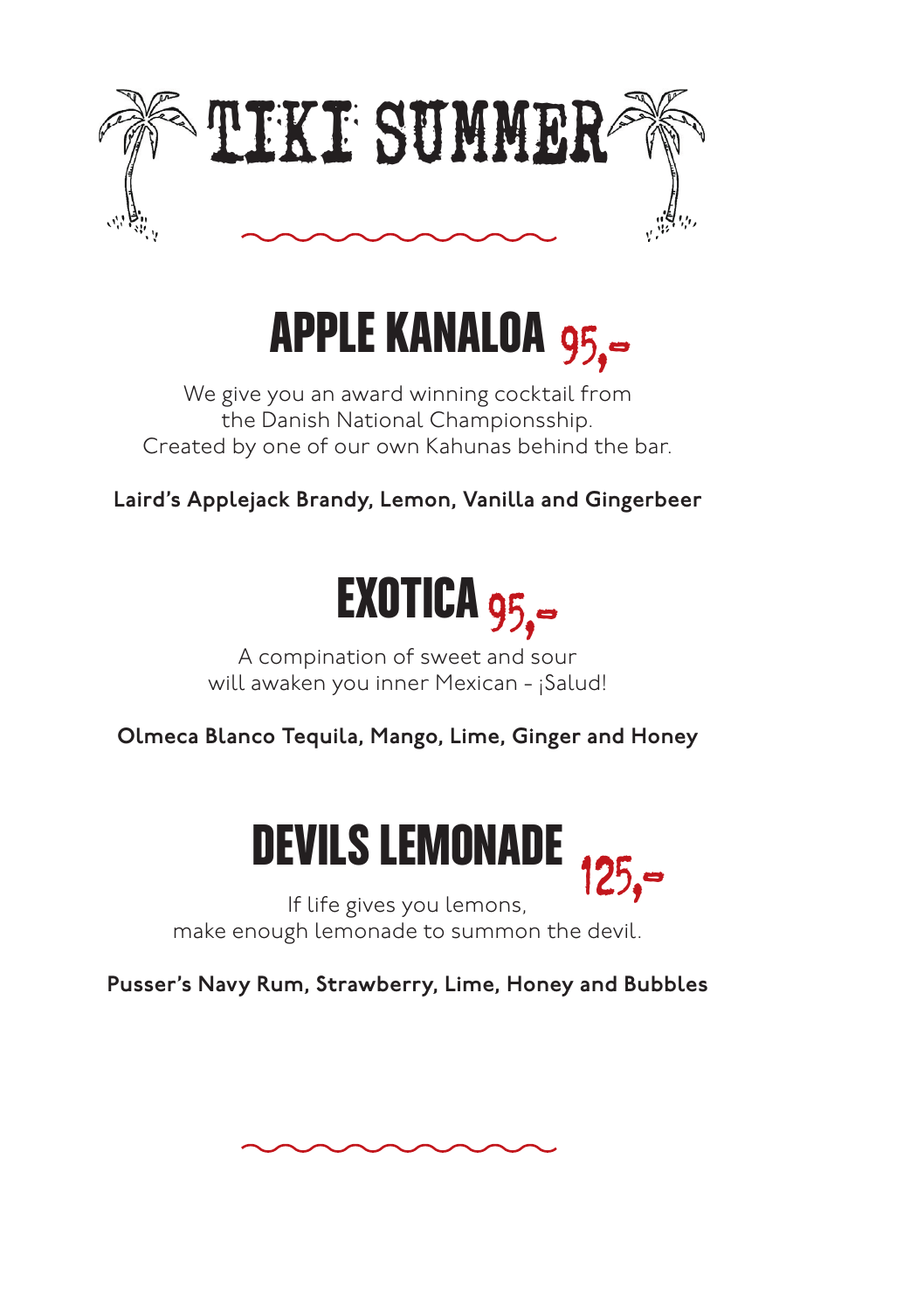

#### APPLE KANALOA 95.

We give you an award winning cocktail from the Danish National Championsship. Created by one of our own Kahunas behind the bar.

Laird's Applejack Brandy, Lemon, Vanilla and Gingerbeer



A compination of sweet and sour will awaken you inner Mexican - ¡Salud!

Olmeca Blanco Tequila, Mango, Lime, Ginger and Honey



If life gives you lemons, make enough lemonade to summon the devil.

Pusser's Navy Rum, Strawberry, Lime, Honey and Bubbles

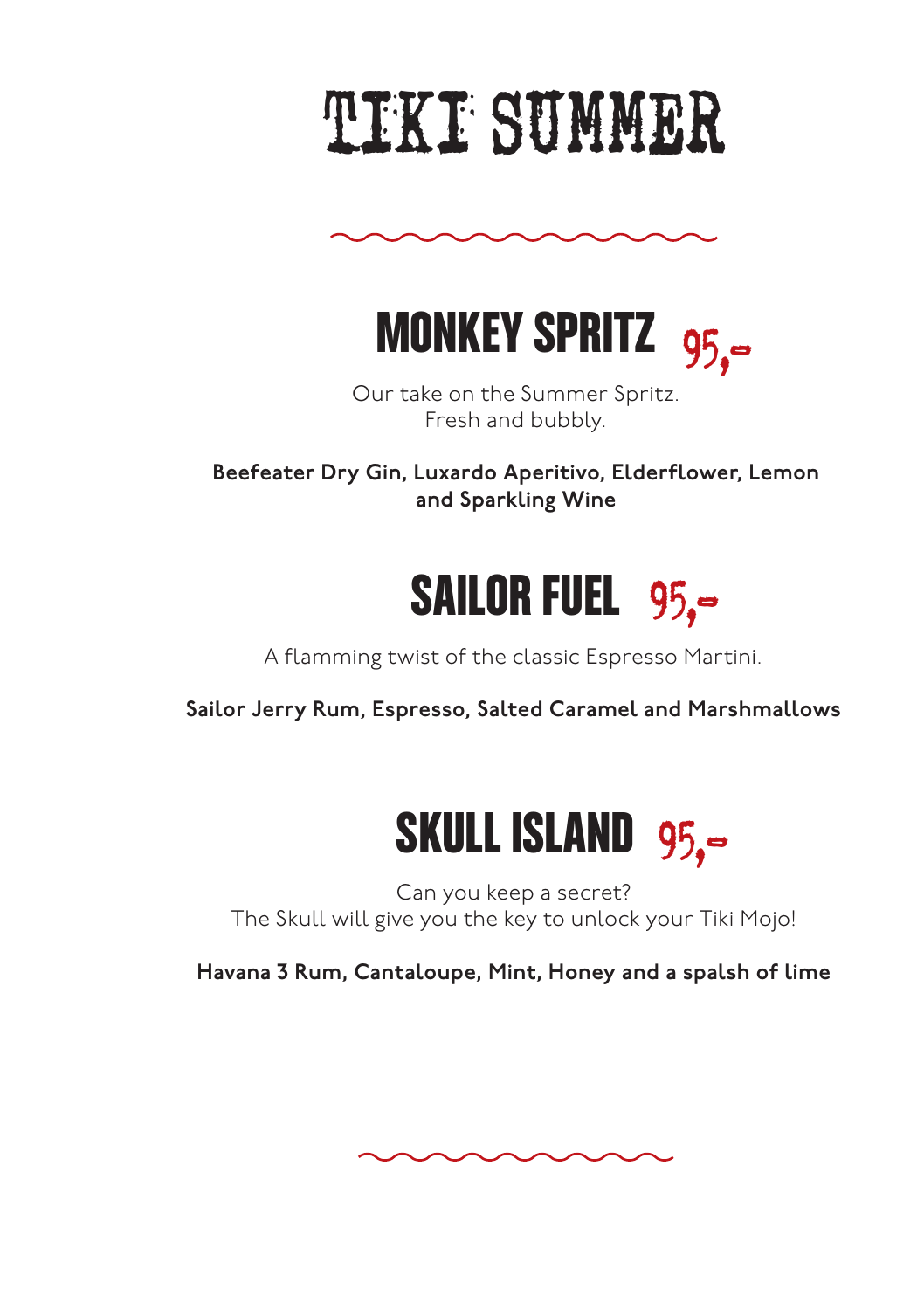# TIKI SUMMER



MONKEY SPRITZ 95,-

Our take on the Summer Spritz. Fresh and bubbly.

Beefeater Dry Gin, Luxardo Aperitivo, Elderflower, Lemon and Sparkling Wine



A flamming twist of the classic Espresso Martini.

Sailor Jerry Rum, Espresso, Salted Caramel and Marshmallows



Can you keep a secret? The Skull will give you the key to unlock your Tiki Mojo!

Havana 3 Rum, Cantaloupe, Mint, Honey and a spalsh of lime

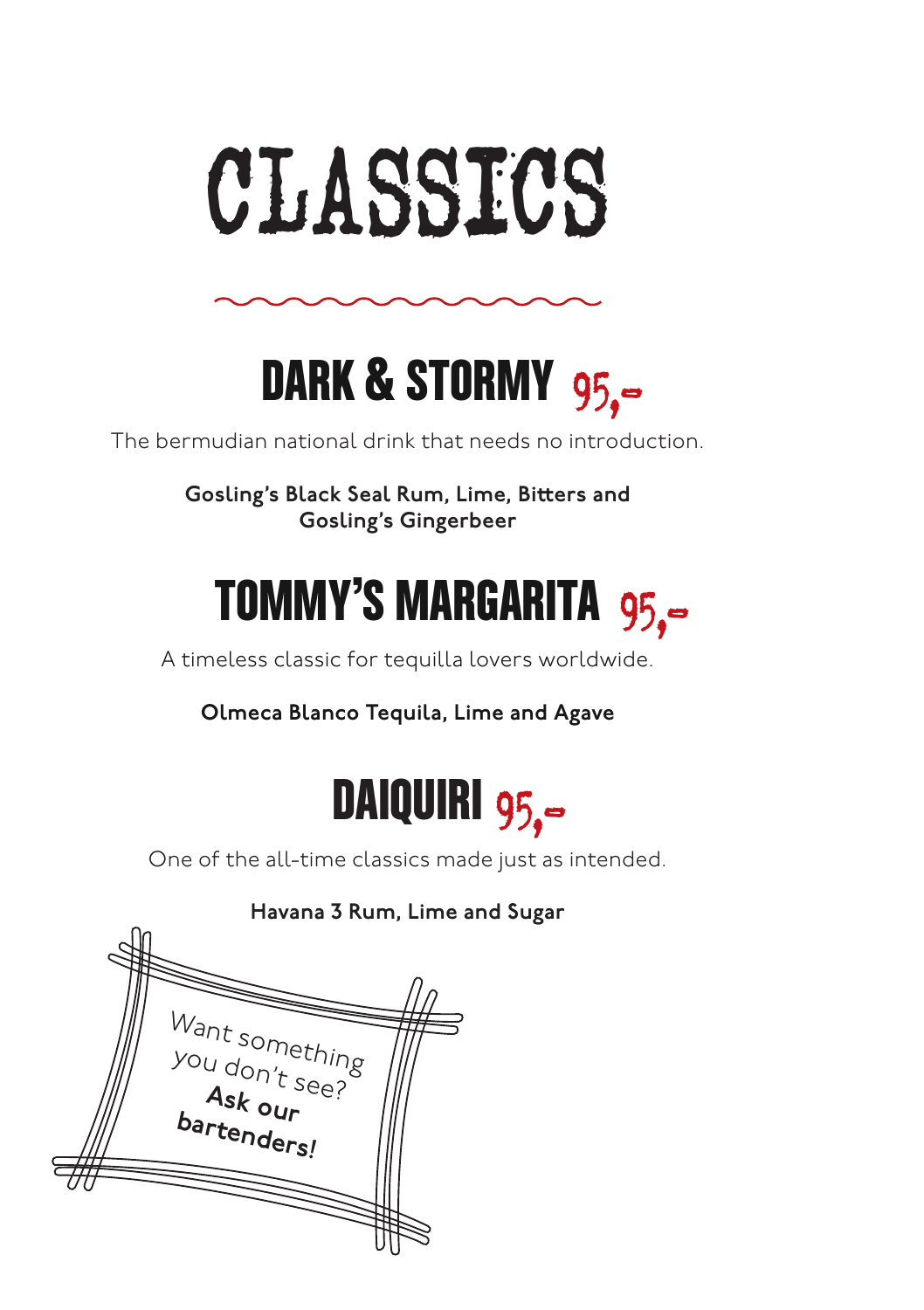



The bermudian national drink that needs no introduction.

Gosling's Black Seal Rum, Lime, Bitters and Gosling's Gingerbeer



A timeless classic for tequilla lovers worldwide.

Olmeca Blanco Tequila, Lime and Agave



One of the all-time classics made just as intended.

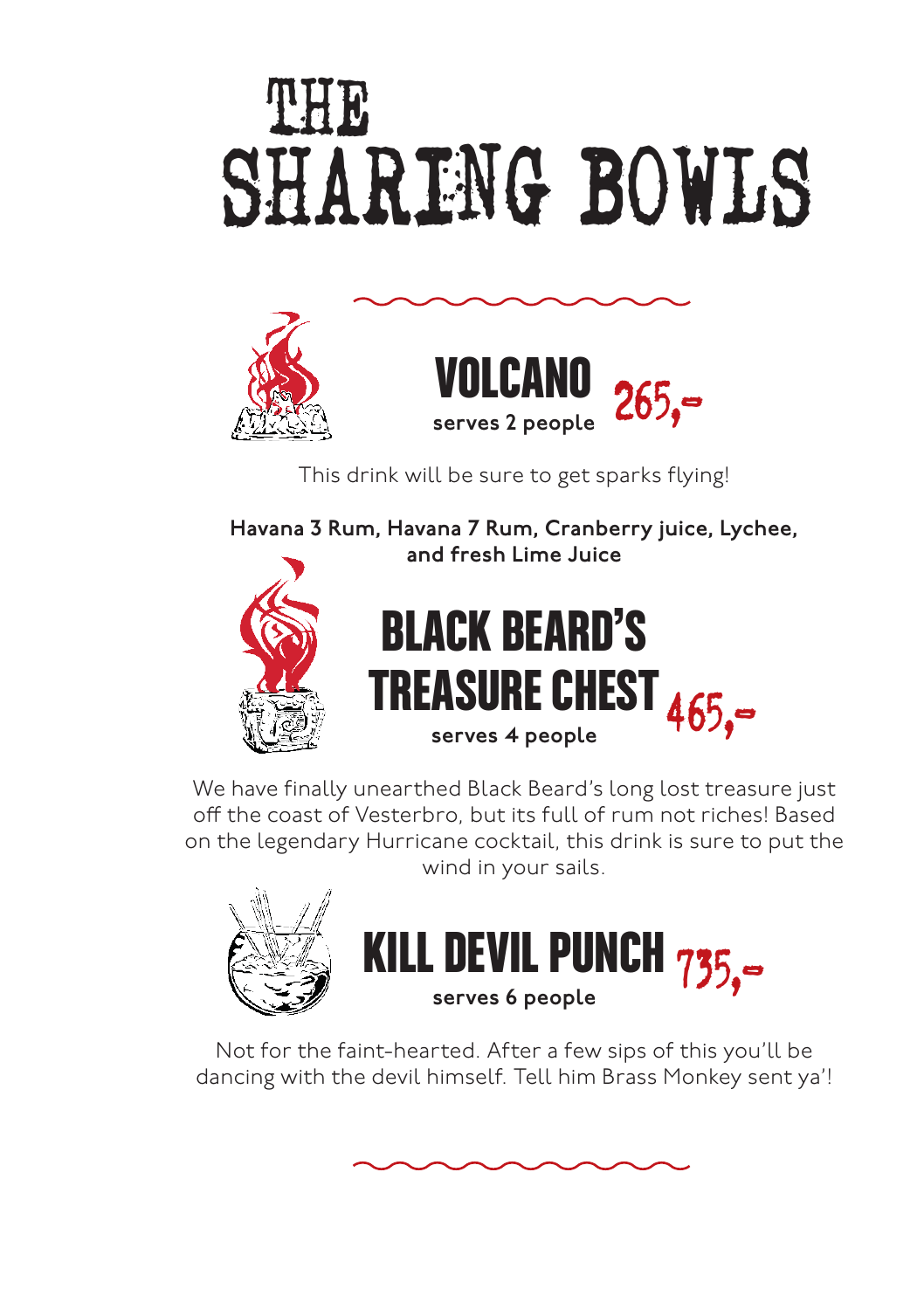### SHARING BOWLS THE



This drink will be sure to get sparks flying!

Havana 3 Rum, Havana 7 Rum, Cranberry juice, Lychee, and fresh Lime Juice



#### BLACK BEARD'S TREASURE CHEST serves 4 people 465,-

We have finally unearthed Black Beard's long lost treasure just off the coast of Vesterbro, but its full of rum not riches! Based on the legendary Hurricane cocktail, this drink is sure to put the wind in your sails.





Not for the faint-hearted. After a few sips of this you'll be dancing with the devil himself. Tell him Brass Monkey sent ya'!